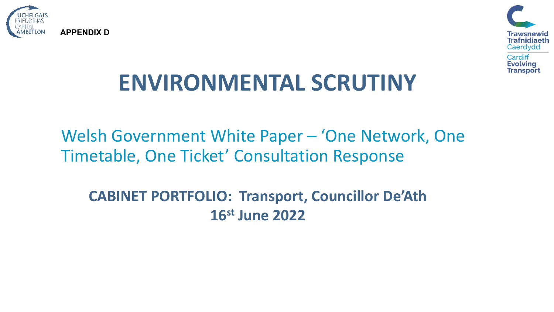



# **ENVIRONMENTAL SCRUTINY**

Welsh Government White Paper – 'One Network, One Timetable, One Ticket' Consultation Response

**CABINET PORTFOLIO: Transport, Councillor De'Ath 16st June 2022**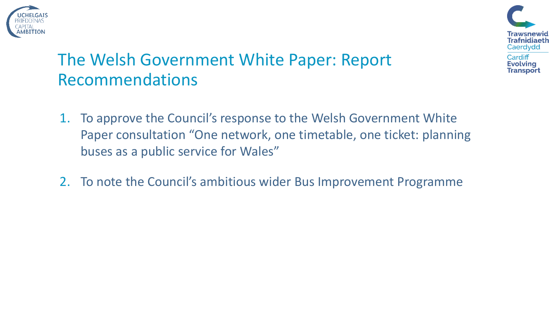



## The Welsh Government White Paper: Report Recommendations

- 1. To approve the Council's response to the Welsh Government White Paper consultation "One network, one timetable, one ticket: planning buses as a public service for Wales"
- 2. To note the Council's ambitious wider Bus Improvement Programme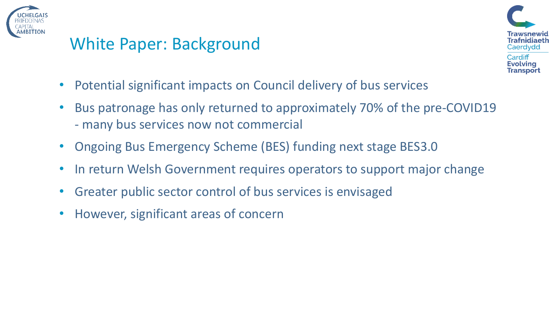



- Potential significant impacts on Council delivery of bus services
- Bus patronage has only returned to approximately 70% of the pre-COVID19 - many bus services now not commercial
- Ongoing Bus Emergency Scheme (BES) funding next stage BES3.0
- In return Welsh Government requires operators to support major change
- Greater public sector control of bus services is envisaged
- However, significant areas of concern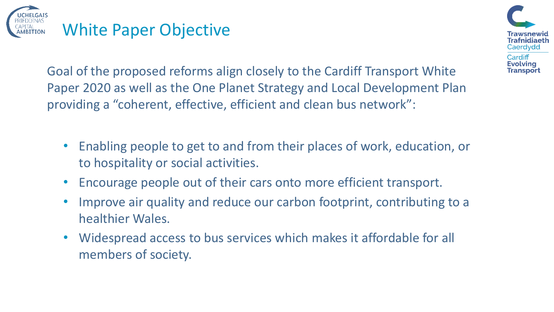



Goal of the proposed reforms align closely to the Cardiff Transport White Paper 2020 as well as the One Planet Strategy and Local Development Plan providing a "coherent, effective, efficient and clean bus network":

- Enabling people to get to and from their places of work, education, or to hospitality or social activities.
- Encourage people out of their cars onto more efficient transport.
- Improve air quality and reduce our carbon footprint, contributing to a healthier Wales.
- Widespread access to bus services which makes it affordable for all members of society.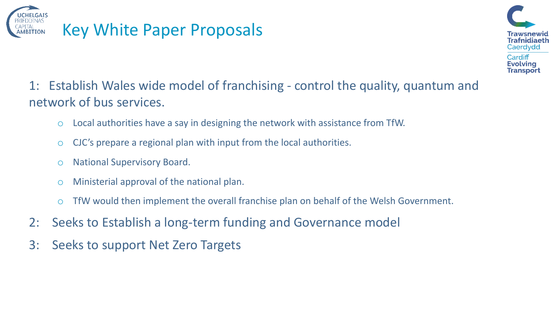



#### 1: Establish Wales wide model of franchising - control the quality, quantum and network of bus services.

- o Local authorities have a say in designing the network with assistance from TfW.
- $\circ$  CJC's prepare a regional plan with input from the local authorities.
- o National Supervisory Board.
- o Ministerial approval of the national plan.
- o TfW would then implement the overall franchise plan on behalf of the Welsh Government.
- 2: Seeks to Establish a long-term funding and Governance model
- 3: Seeks to support Net Zero Targets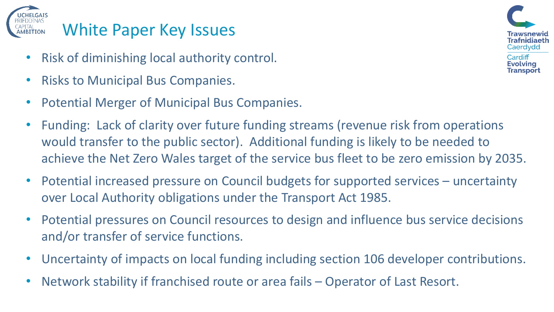

# White Paper Key Issues

- Risk of diminishing local authority control.
- Risks to Municipal Bus Companies.
- Potential Merger of Municipal Bus Companies.
- Funding: Lack of clarity over future funding streams (revenue risk from operations would transfer to the public sector). Additional funding is likely to be needed to achieve the Net Zero Wales target of the service bus fleet to be zero emission by 2035.
- Potential increased pressure on Council budgets for supported services uncertainty over Local Authority obligations under the Transport Act 1985.
- Potential pressures on Council resources to design and influence bus service decisions and/or transfer of service functions.
- Uncertainty of impacts on local funding including section 106 developer contributions.
- Network stability if franchised route or area fails Operator of Last Resort.

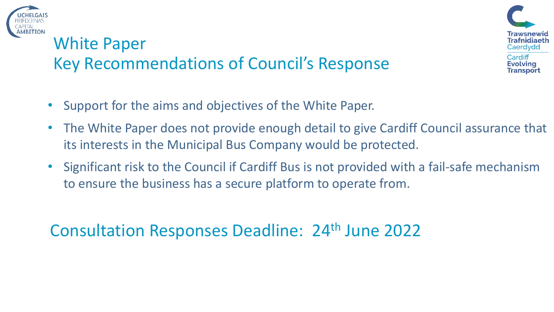

## White Paper Key Recommendations of Council's Response



- Support for the aims and objectives of the White Paper.
- The White Paper does not provide enough detail to give Cardiff Council assurance that its interests in the Municipal Bus Company would be protected.
- Significant risk to the Council if Cardiff Bus is not provided with a fail-safe mechanism to ensure the business has a secure platform to operate from.

Consultation Responses Deadline: 24th June 2022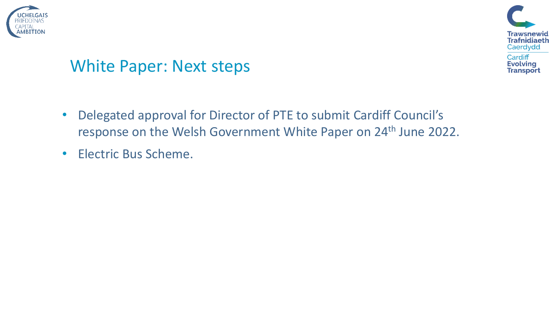



### White Paper: Next steps

- Delegated approval for Director of PTE to submit Cardiff Council's response on the Welsh Government White Paper on 24<sup>th</sup> June 2022.
- Electric Bus Scheme.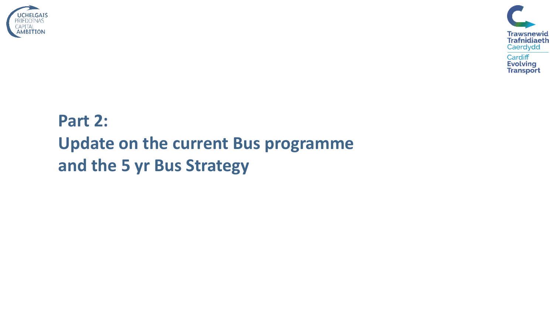



# **Part 2: Update on the current Bus programme and the 5 yr Bus Strategy**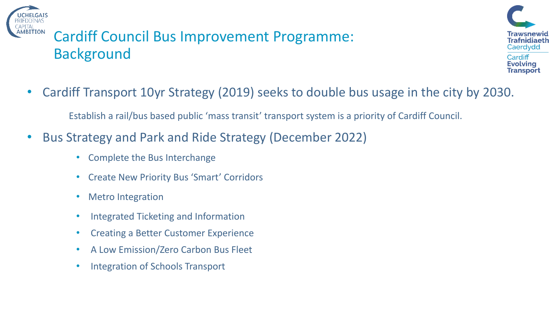

### Cardiff Council Bus Improvement Programme: Background



• Cardiff Transport 10yr Strategy (2019) seeks to double bus usage in the city by 2030.

Establish a rail/bus based public 'mass transit' transport system is a priority of Cardiff Council.

- Bus Strategy and Park and Ride Strategy (December 2022)
	- Complete the Bus Interchange
	- Create New Priority Bus 'Smart' Corridors
	- Metro Integration
	- Integrated Ticketing and Information
	- Creating a Better Customer Experience
	- A Low Emission/Zero Carbon Bus Fleet
	- Integration of Schools Transport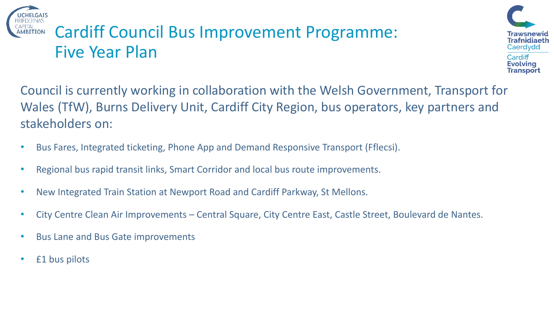# Cardiff Council Bus Improvement Programme: Five Year Plan



Council is currently working in collaboration with the Welsh Government, Transport for Wales (TfW), Burns Delivery Unit, Cardiff City Region, bus operators, key partners and stakeholders on:

- Bus Fares, Integrated ticketing, Phone App and Demand Responsive Transport (Fflecsi).
- Regional bus rapid transit links, Smart Corridor and local bus route improvements.
- New Integrated Train Station at Newport Road and Cardiff Parkway, St Mellons.
- City Centre Clean Air Improvements Central Square, City Centre East, Castle Street, Boulevard de Nantes.
- Bus Lane and Bus Gate improvements
- £1 bus pilots

**ITION**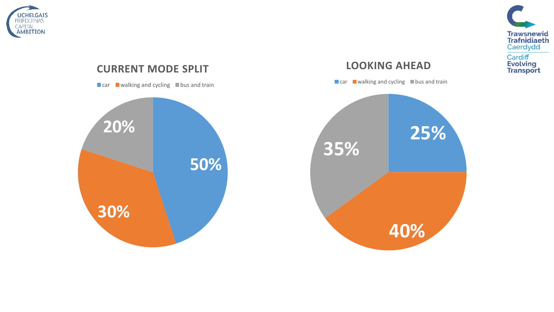

#### **CURRENT MODE SPLIT**

 $\Box$  car  $\Box$  walking and cycling  $\Box$  bus and train



#### **LOOKING AHEAD**

 $\Box$  car  $\Box$  walking and cycling  $\Box$  bus and train



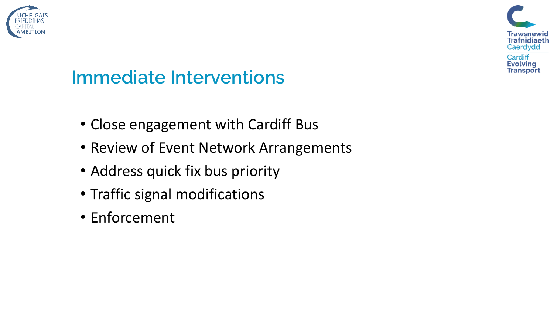



# **Immediate Interventions**

- Close engagement with Cardiff Bus
- Review of Event Network Arrangements
- Address quick fix bus priority
- Traffic signal modifications
- Enforcement